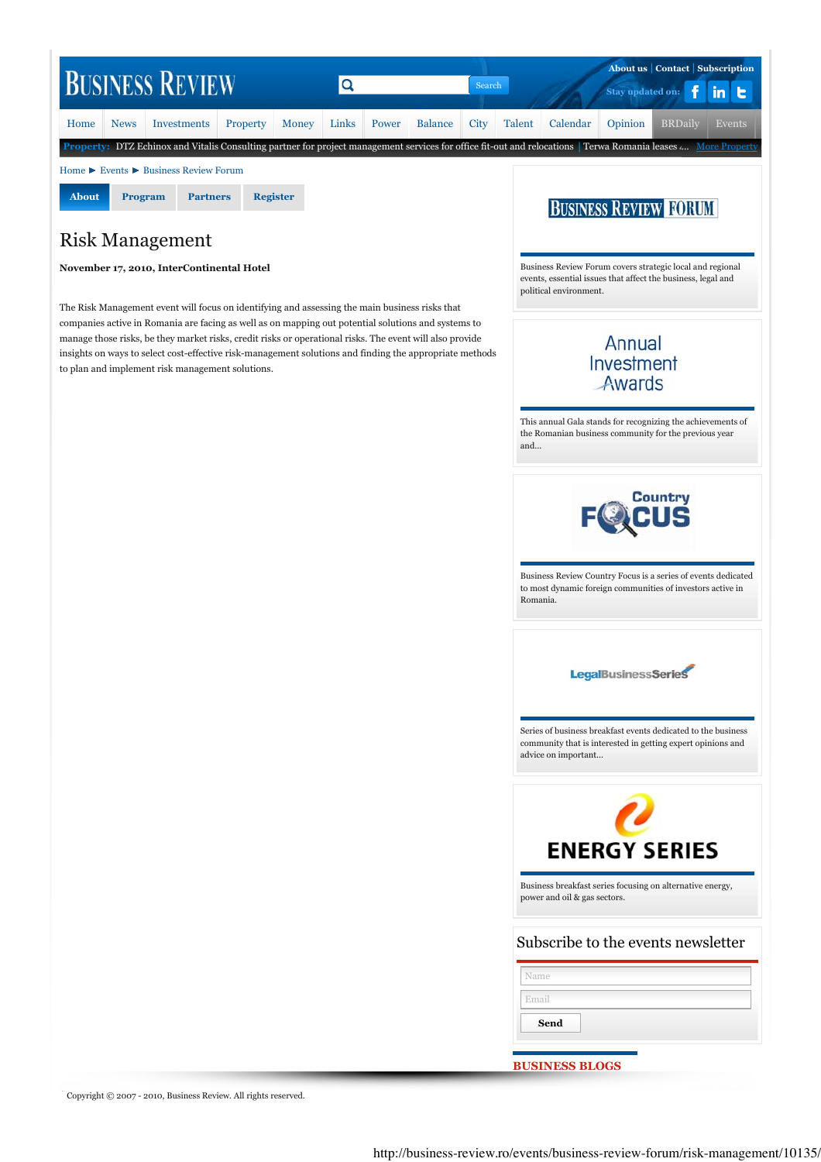

## Risk Management

## **November 17, 2010, InterContinental Hotel**

The Risk Management event will focus on identifying and assessing the main business risks that companies active in Romania are facing as well as on mapping out potential solutions and systems to manage those risks, be they market risks, credit risks or operational risks. The event will also provide insights on ways to select cost-effective risk-management solutions and finding the appropriate methods to plan and implement risk management solutions.

Business Review Forum covers strategic local and regional events, essential issues that affect the business, legal and political environment.

## Annual Investment Awards

This annual Gala stands for recognizing the achievements of the Romanian business community for the previous year and...



Business Review Country Focus is a series of events dedicated to most dynamic foreign communities of investors active in Romania.

**LegalBusinessSeries** 

Series of business breakfast events dedicated to the business community that is interested in getting expert opinions and advice on important...



Business breakfast series focusing on alternative energy, power and oil & gas sectors.

## Subscribe to the events newsletter

| Name  |  |
|-------|--|
| Email |  |
| Send  |  |

**BUSINESS BLOGS**

Copyright © 2007 - 2010, Business Review. All rights reserved.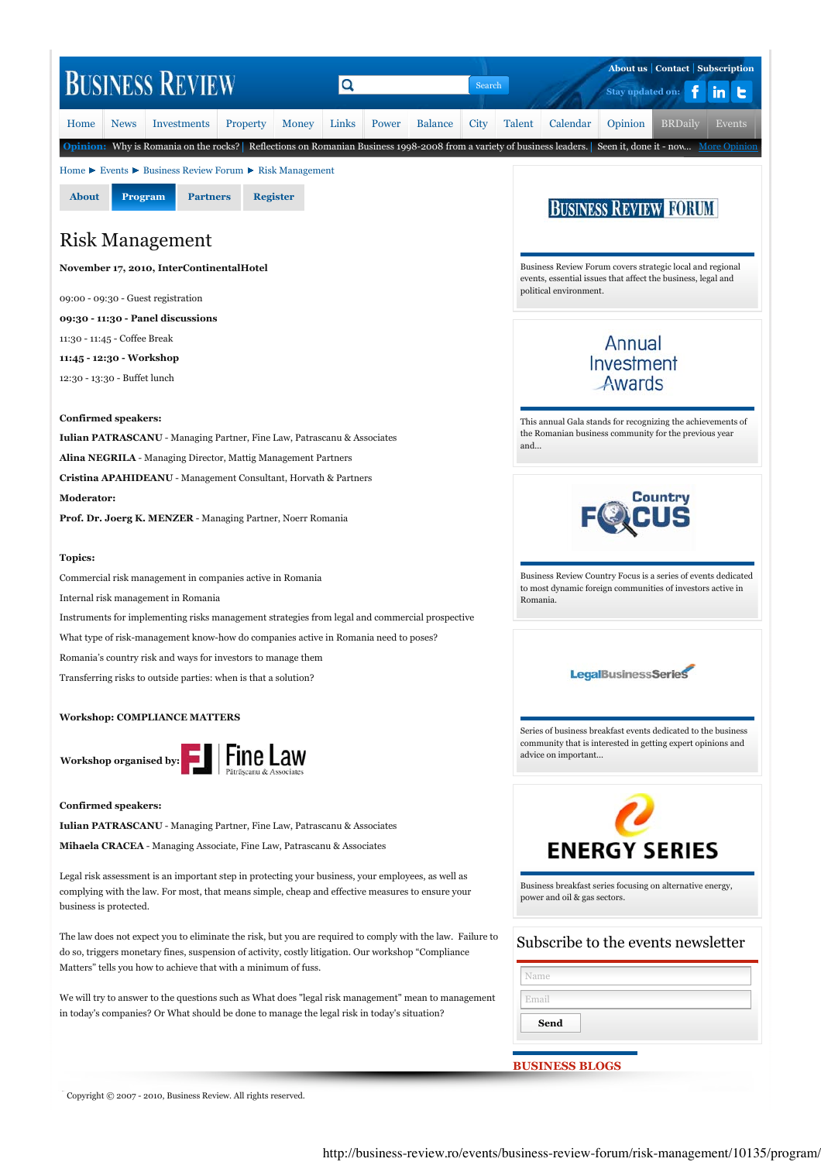

Copyright © 2007 - 2010, Business Review. All rights reserved.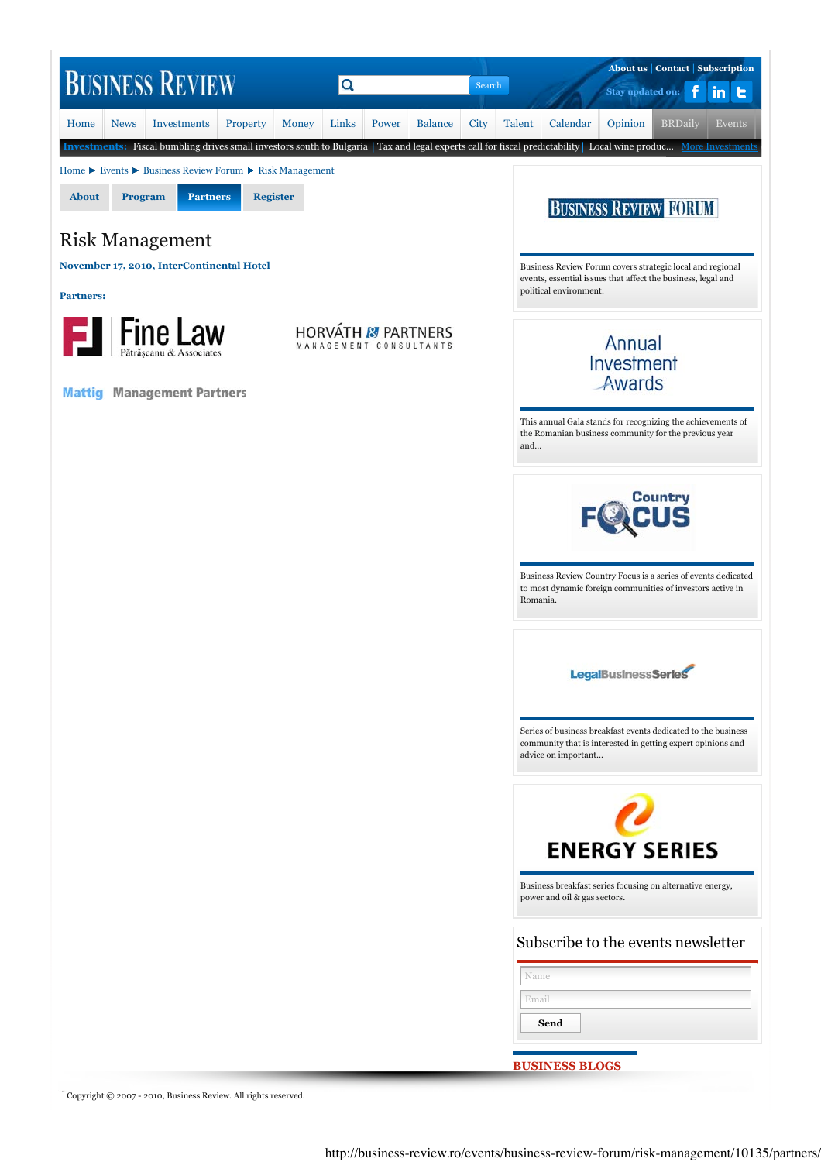